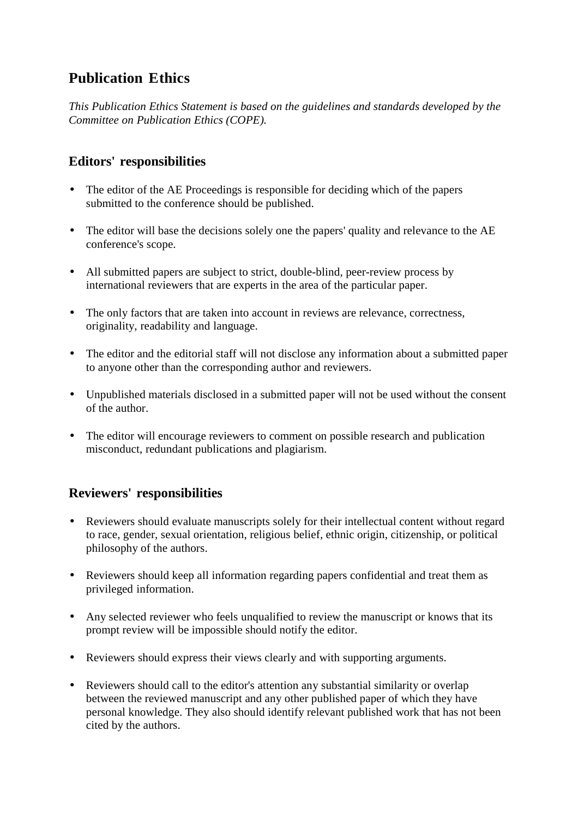## **Publication Ethics**

*This Publication Ethics Statement is based on the guidelines and standards developed by the Committee on Publication Ethics (COPE).* 

## **Editors' responsibilities**

- The editor of the AE Proceedings is responsible for deciding which of the papers submitted to the conference should be published.
- The editor will base the decisions solely one the papers' quality and relevance to the AE conference's scope.
- All submitted papers are subject to strict, double-blind, peer-review process by international reviewers that are experts in the area of the particular paper.
- The only factors that are taken into account in reviews are relevance, correctness, originality, readability and language.
- The editor and the editorial staff will not disclose any information about a submitted paper to anyone other than the corresponding author and reviewers.
- Unpublished materials disclosed in a submitted paper will not be used without the consent of the author.
- The editor will encourage reviewers to comment on possible research and publication misconduct, redundant publications and plagiarism.

## **Reviewers' responsibilities**

- Reviewers should evaluate manuscripts solely for their intellectual content without regard to race, gender, sexual orientation, religious belief, ethnic origin, citizenship, or political philosophy of the authors.
- Reviewers should keep all information regarding papers confidential and treat them as privileged information.
- Any selected reviewer who feels unqualified to review the manuscript or knows that its prompt review will be impossible should notify the editor.
- Reviewers should express their views clearly and with supporting arguments.
- Reviewers should call to the editor's attention any substantial similarity or overlap between the reviewed manuscript and any other published paper of which they have personal knowledge. They also should identify relevant published work that has not been cited by the authors.